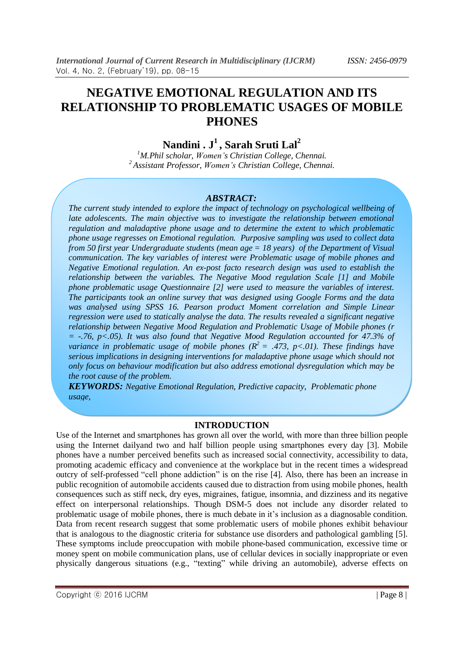# **NEGATIVE EMOTIONAL REGULATION AND ITS RELATIONSHIP TO PROBLEMATIC USAGES OF MOBILE PHONES**

**Nandini . J 1 , Sarah Sruti Lal 2**

*<sup>1</sup>M.Phil scholar, Women's Christian College, Chennai. <sup>2</sup> Assistant Professor, Women's Christian College, Chennai.*

#### *ABSTRACT:*

*The current study intended to explore the impact of technology on psychological wellbeing of late adolescents. The main objective was to investigate the relationship between emotional regulation and maladaptive phone usage and to determine the extent to which problematic phone usage regresses on Emotional regulation. Purposive sampling was used to collect data from 50 first year Undergraduate students (mean age = 18 years) of the Department of Visual communication. The key variables of interest were Problematic usage of mobile phones and Negative Emotional regulation. An ex-post facto research design was used to establish the relationship between the variables. The Negative Mood regulation Scale [1] and Mobile phone problematic usage Questionnaire [2] were used to measure the variables of interest. The participants took an online survey that was designed using Google Forms and the data was analysed using SPSS 16. Pearson product Moment correlation and Simple Linear regression were used to statically analyse the data. The results revealed a significant negative relationship between Negative Mood Regulation and Problematic Usage of Mobile phones (r = -.76, p<.05). It was also found that Negative Mood Regulation accounted for 47.3% of variance in problematic usage of mobile phones*  $(R^2 = .473, p < .01)$ . *These findings have serious implications in designing interventions for maladaptive phone usage which should not only focus on behaviour modification but also address emotional dysregulation which may be the root cause of the problem.*

*KEYWORDS: Negative Emotional Regulation, Predictive capacity, Problematic phone usage,*

#### **INTRODUCTION**

Use of the Internet and smartphones has grown all over the world, with more than three billion people using the Internet dailyand two and half billion people using smartphones every day [3]. Mobile phones have a number perceived benefits such as increased social connectivity, accessibility to data, promoting academic efficacy and convenience at the workplace but in the recent times a widespread outcry of self-professed "cell phone addiction" is on the rise [4]. Also, there has been an increase in public recognition of automobile accidents caused due to distraction from using mobile phones, health consequences such as stiff neck, dry eyes, migraines, fatigue, insomnia, and dizziness and its negative effect on interpersonal relationships. Though DSM-5 does not include any disorder related to problematic usage of mobile phones, there is much debate in it"s inclusion as a diagnosable condition. Data from recent research suggest that some problematic users of mobile phones exhibit behaviour that is analogous to the diagnostic criteria for substance use disorders and pathological gambling [5]. These symptoms include preoccupation with mobile phone-based communication, excessive time or money spent on mobile communication plans, use of cellular devices in socially inappropriate or even physically dangerous situations (e.g., "texting" while driving an automobile), adverse effects on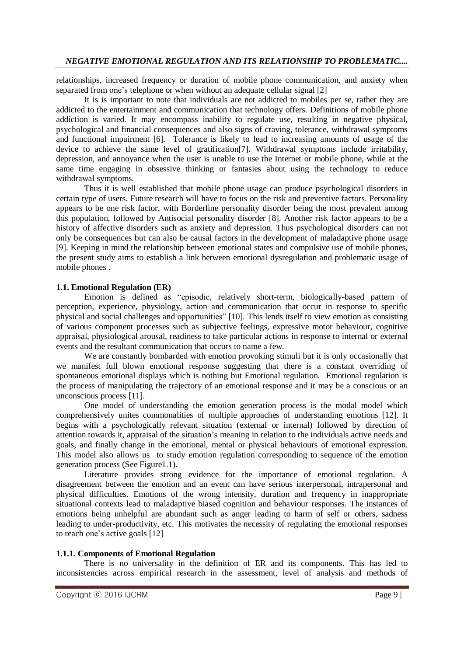relationships, increased frequency or duration of mobile phone communication, and anxiety when separated from one's telephone or when without an adequate cellular signal [2]

It is is important to note that individuals are not addicted to mobiles per se, rather they are addicted to the entertainment and communication that technology offers. Definitions of mobile phone addiction is varied. It may encompass inability to regulate use, resulting in negative physical, psychological and financial consequences and also signs of craving, tolerance, withdrawal symptoms and functional impairment [6]. Tolerance is likely to lead to increasing amounts of usage of the device to achieve the same level of gratification[7]. Withdrawal symptoms include irritability, depression, and annoyance when the user is unable to use the Internet or mobile phone, while at the same time engaging in obsessive thinking or fantasies about using the technology to reduce withdrawal symptoms.

Thus it is well established that mobile phone usage can produce psychological disorders in certain type of users. Future research will have to focus on the risk and preventive factors. Personality appears to be one risk factor, with Borderline personality disorder being the most prevalent among this population, followed by Antisocial personality disorder [8]. Another risk factor appears to be a history of affective disorders such as anxiety and depression. Thus psychological disorders can not only be consequences but can also be causal factors in the development of maladaptive phone usage [9]. Keeping in mind the relationship between emotional states and compulsive use of mobile phones, the present study aims to establish a link between emotional dysregulation and problematic usage of mobile phones .

### **1.1. Emotional Regulation (ER)**

Emotion is defined as "episodic, relatively short-term, biologically-based pattern of perception, experience, physiology, action and communication that occur in response to specific physical and social challenges and opportunities" [10]. This lends itself to view emotion as consisting of various component processes such as subjective feelings, expressive motor behaviour, cognitive appraisal, physiological arousal, readiness to take particular actions in response to internal or external events and the resultant communication that occurs to name a few.

We are constantly bombarded with emotion provoking stimuli but it is only occasionally that we manifest full blown emotional response suggesting that there is a constant overriding of spontaneous emotional displays which is nothing but Emotional regulation. Emotional regulation is the process of manipulating the trajectory of an emotional response and it may be a conscious or an unconscious process [11].

One model of understanding the emotion generation process is the modal model which comprehensively unites commonalities of multiple approaches of understanding emotions [12]. It begins with a psychologically relevant situation (external or internal) followed by direction of attention towards it, appraisal of the situation"s meaning in relation to the individuals active needs and goals, and finally change in the emotional, mental or physical behaviours of emotional expression. This model also allows us to study emotion regulation corresponding to sequence of the emotion generation process (See Figure1.1).

Literature provides strong evidence for the importance of emotional regulation. A disagreement between the emotion and an event can have serious interpersonal, intrapersonal and physical difficulties. Emotions of the wrong intensity, duration and frequency in inappropriate situational contexts lead to maladaptive biased cognition and behaviour responses. The instances of emotions being unhelpful are abundant such as anger leading to harm of self or others, sadness leading to under-productivity, etc. This motivates the necessity of regulating the emotional responses to reach one's active goals [12]

## **1.1.1. Components of Emotional Regulation**

There is no universality in the definition of ER and its components. This has led to inconsistencies across empirical research in the assessment, level of analysis and methods of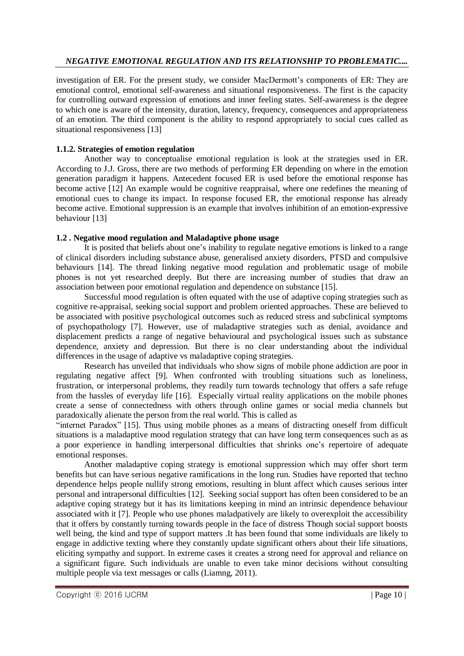investigation of ER. For the present study, we consider MacDermott's components of ER: They are emotional control, emotional self-awareness and situational responsiveness. The first is the capacity for controlling outward expression of emotions and inner feeling states. Self-awareness is the degree to which one is aware of the intensity, duration, latency, frequency, consequences and appropriateness of an emotion. The third component is the ability to respond appropriately to social cues called as situational responsiveness [13]

## **1.1.2. Strategies of emotion regulation**

Another way to conceptualise emotional regulation is look at the strategies used in ER. According to J.J. Gross, there are two methods of performing ER depending on where in the emotion generation paradigm it happens. Antecedent focused ER is used before the emotional response has become active [12] An example would be cognitive reappraisal, where one redefines the meaning of emotional cues to change its impact. In response focused ER, the emotional response has already become active. Emotional suppression is an example that involves inhibition of an emotion-expressive behaviour [13]

## **1.2 . Negative mood regulation and Maladaptive phone usage**

It is posited that beliefs about one"s inability to regulate negative emotions is linked to a range of clinical disorders including substance abuse, generalised anxiety disorders, PTSD and compulsive behaviours [14]. The thread linking negative mood regulation and problematic usage of mobile phones is not yet researched deeply. But there are increasing number of studies that draw an association between poor emotional regulation and dependence on substance [15].

Successful mood regulation is often equated with the use of adaptive coping strategies such as cognitive re-appraisal, seeking social support and problem oriented approaches. These are believed to be associated with positive psychological outcomes such as reduced stress and subclinical symptoms of psychopathology [7]. However, use of maladaptive strategies such as denial, avoidance and displacement predicts a range of negative behavioural and psychological issues such as substance dependence, anxiety and depression. But there is no clear understanding about the individual differences in the usage of adaptive vs maladaptive coping strategies.

Research has unveiled that individuals who show signs of mobile phone addiction are poor in regulating negative affect [9]. When confronted with troubling situations such as loneliness, frustration, or interpersonal problems, they readily turn towards technology that offers a safe refuge from the hassles of everyday life [16]. Especially virtual reality applications on the mobile phones create a sense of connectedness with others through online games or social media channels but paradoxically alienate the person from the real world. This is called as

"internet Paradox" [15]. Thus using mobile phones as a means of distracting oneself from difficult situations is a maladaptive mood regulation strategy that can have long term consequences such as as a poor experience in handling interpersonal difficulties that shrinks one"s repertoire of adequate emotional responses.

Another maladaptive coping strategy is emotional suppression which may offer short term benefits but can have serious negative ramifications in the long run. Studies have reported that techno dependence helps people nullify strong emotions, resulting in blunt affect which causes serious inter personal and intrapersonal difficulties [12]. Seeking social support has often been considered to be an adaptive coping strategy but it has its limitations keeping in mind an intrinsic dependence behaviour associated with it [7]. People who use phones maladpatively are likely to overexploit the accessibility that it offers by constantly turning towards people in the face of distress Though social support boosts well being, the kind and type of support matters .It has been found that some individuals are likely to engage in addictive texting where they constantly update significant others about their life situations, eliciting sympathy and support. In extreme cases it creates a strong need for approval and reliance on a significant figure. Such individuals are unable to even take minor decisions without consulting multiple people via text messages or calls (Liamng, 2011).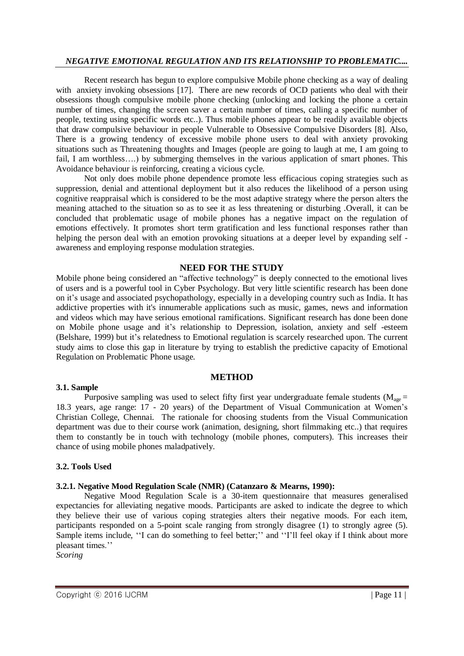Recent research has begun to explore compulsive Mobile phone checking as a way of dealing with anxiety invoking obsessions [17]. There are new records of OCD patients who deal with their obsessions though compulsive mobile phone checking (unlocking and locking the phone a certain number of times, changing the screen saver a certain number of times, calling a specific number of people, texting using specific words etc..). Thus mobile phones appear to be readily available objects that draw compulsive behaviour in people Vulnerable to Obsessive Compulsive Disorders [8]. Also, There is a growing tendency of excessive mobile phone users to deal with anxiety provoking situations such as Threatening thoughts and Images (people are going to laugh at me, I am going to fail, I am worthless….) by submerging themselves in the various application of smart phones. This Avoidance behaviour is reinforcing, creating a vicious cycle.

Not only does mobile phone dependence promote less efficacious coping strategies such as suppression, denial and attentional deployment but it also reduces the likelihood of a person using cognitive reappraisal which is considered to be the most adaptive strategy where the person alters the meaning attached to the situation so as to see it as less threatening or disturbing .Overall, it can be concluded that problematic usage of mobile phones has a negative impact on the regulation of emotions effectively. It promotes short term gratification and less functional responses rather than helping the person deal with an emotion provoking situations at a deeper level by expanding self awareness and employing response modulation strategies.

#### **NEED FOR THE STUDY**

Mobile phone being considered an "affective technology" is deeply connected to the emotional lives of users and is a powerful tool in Cyber Psychology. But very little scientific research has been done on it"s usage and associated psychopathology, especially in a developing country such as India. It has addictive properties with it's innumerable applications such as music, games, news and information and videos which may have serious emotional ramifications. Significant research has done been done on Mobile phone usage and it's relationship to Depression, isolation, anxiety and self-esteem (Belshare, 1999) but it"s relatedness to Emotional regulation is scarcely researched upon. The current study aims to close this gap in literature by trying to establish the predictive capacity of Emotional Regulation on Problematic Phone usage.

## **METHOD**

Purposive sampling was used to select fifty first year undergraduate female students ( $M_{\text{age}} =$ 18.3 years, age range: 17 - 20 years) of the Department of Visual Communication at Women"s Christian College, Chennai. The rationale for choosing students from the Visual Communication department was due to their course work (animation, designing, short filmmaking etc..) that requires them to constantly be in touch with technology (mobile phones, computers). This increases their chance of using mobile phones maladpatively.

#### **3.2. Tools Used**

**3.1. Sample**

## **3.2.1. Negative Mood Regulation Scale (NMR) (Catanzaro & Mearns, 1990):**

Negative Mood Regulation Scale is a 30-item questionnaire that measures generalised expectancies for alleviating negative moods. Participants are asked to indicate the degree to which they believe their use of various coping strategies alters their negative moods. For each item, participants responded on a 5-point scale ranging from strongly disagree (1) to strongly agree (5). Sample items include, "I can do something to feel better;" and "I'll feel okay if I think about more pleasant times."

*Scoring*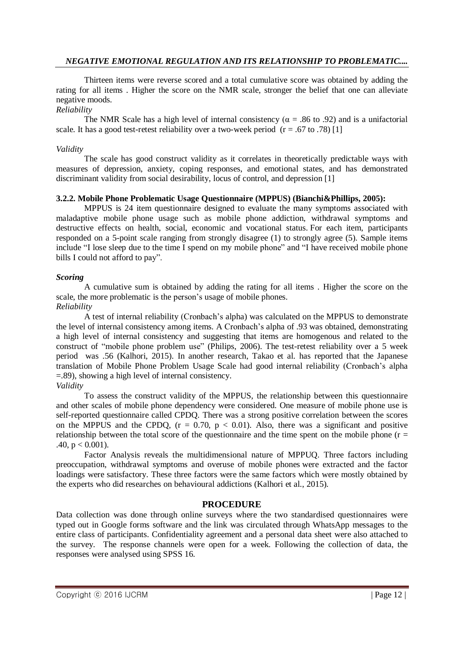Thirteen items were reverse scored and a total cumulative score was obtained by adding the rating for all items . Higher the score on the NMR scale, stronger the belief that one can alleviate negative moods.

#### *Reliability*

The NMR Scale has a high level of internal consistency ( $\alpha$  = .86 to .92) and is a unifactorial scale. It has a good test-retest reliability over a two-week period  $(r = .67$  to .78) [1]

#### *Validity*

The scale has good construct validity as it correlates in theoretically predictable ways with measures of depression, anxiety, coping responses, and emotional states, and has demonstrated discriminant validity from social desirability, locus of control, and depression [1]

#### **3.2.2. Mobile Phone Problematic Usage Questionnaire (MPPUS) (Bianchi&Phillips, 2005):**

MPPUS is 24 item questionnaire designed to evaluate the many symptoms associated with maladaptive mobile phone usage such as mobile phone addiction, withdrawal symptoms and destructive effects on health, social, economic and vocational status. For each item, participants responded on a 5-point scale ranging from strongly disagree (1) to strongly agree (5). Sample items include "I lose sleep due to the time I spend on my mobile phone" and "I have received mobile phone bills I could not afford to pay".

#### *Scoring*

A cumulative sum is obtained by adding the rating for all items . Higher the score on the scale, the more problematic is the person's usage of mobile phones.

## *Reliability*

A test of internal reliability (Cronbach"s alpha) was calculated on the MPPUS to demonstrate the level of internal consistency among items. A Cronbach"s alpha of .93 was obtained, demonstrating a high level of internal consistency and suggesting that items are homogenous and related to the construct of "mobile phone problem use" (Philips, 2006). The test-retest reliability over a 5 week period was .56 (Kalhori, 2015). In another research, Takao et al. has reported that the Japanese translation of Mobile Phone Problem Usage Scale had good internal reliability (Cronbach"s alpha =.89), showing a high level of internal consistency.

#### *Validity*

To assess the construct validity of the MPPUS, the relationship between this questionnaire and other scales of mobile phone dependency were considered. One measure of mobile phone use is self-reported questionnaire called CPDQ. There was a strong positive correlation between the scores on the MPPUS and the CPDQ,  $(r = 0.70, p < 0.01)$ . Also, there was a significant and positive relationship between the total score of the questionnaire and the time spent on the mobile phone ( $r =$ .40,  $p < 0.001$ ).

Factor Analysis reveals the multidimensional nature of MPPUQ. Three factors including preoccupation, withdrawal symptoms and overuse of mobile phones were extracted and the factor loadings were satisfactory. These three factors were the same factors which were mostly obtained by the experts who did researches on behavioural addictions (Kalhori et al., 2015).

#### **PROCEDURE**

Data collection was done through online surveys where the two standardised questionnaires were typed out in Google forms software and the link was circulated through WhatsApp messages to the entire class of participants. Confidentiality agreement and a personal data sheet were also attached to the survey. The response channels were open for a week. Following the collection of data, the responses were analysed using SPSS 16.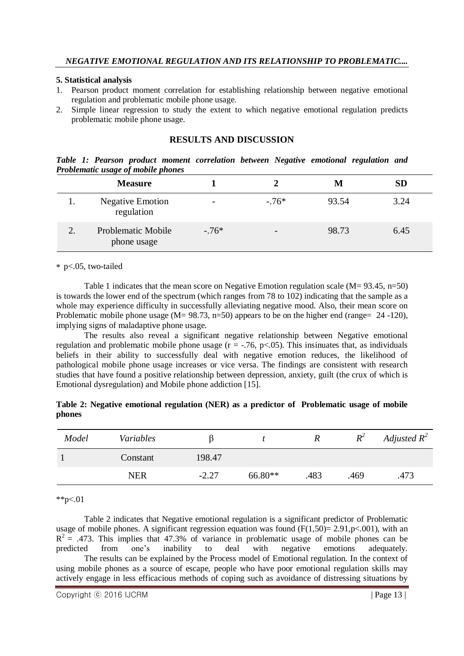#### **5. Statistical analysis**

- 1. Pearson product moment correlation for establishing relationship between negative emotional regulation and problematic mobile phone usage.
- 2. Simple linear regression to study the extent to which negative emotional regulation predicts problematic mobile phone usage.

## **RESULTS AND DISCUSSION**

*Table 1: Pearson product moment correlation between Negative emotional regulation and Problematic usage of mobile phones*

|   | <b>Measure</b>                        |         |         | M     | SD   |
|---|---------------------------------------|---------|---------|-------|------|
|   | <b>Negative Emotion</b><br>regulation |         | $-.76*$ | 93.54 | 3.24 |
| ↑ | Problematic Mobile<br>phone usage     | $-.76*$ | -       | 98.73 | 6.45 |

\* p<.05, two-tailed

Table 1 indicates that the mean score on Negative Emotion regulation scale ( $M = 93.45$ , n=50) is towards the lower end of the spectrum (which ranges from 78 to 102) indicating that the sample as a whole may experience difficulty in successfully alleviating negative mood. Also, their mean score on Problematic mobile phone usage (M= 98.73, n=50) appears to be on the higher end (range= 24 -120), implying signs of maladaptive phone usage.

The results also reveal a significant negative relationship between Negative emotional regulation and problematic mobile phone usage  $(r = -.76, p < .05)$ . This insinuates that, as individuals beliefs in their ability to successfully deal with negative emotion reduces, the likelihood of pathological mobile phone usage increases or vice versa. The findings are consistent with research studies that have found a positive relationship between depression, anxiety, guilt (the crux of which is Emotional dysregulation) and Mobile phone addiction [15].

| Model | Variables  |         |           |      | $R^2$ | Adjusted $R^2$ |
|-------|------------|---------|-----------|------|-------|----------------|
|       | Constant   | 198.47  |           |      |       |                |
|       | <b>NER</b> | $-2.27$ | $66.80**$ | .483 | .469  | .473           |

**Table 2: Negative emotional regulation (NER) as a predictor of Problematic usage of mobile phones**

\*\*p<.01

Table 2 indicates that Negative emotional regulation is a significant predictor of Problematic usage of mobile phones. A significant regression equation was found  $(F(1.50)=2.91, p<.001)$ , with an  $R^2$  = .473. This implies that 47.3% of variance in problematic usage of mobile phones can be predicted from one's inability to deal with negative emotions adequately. The results can be explained by the Process model of Emotional regulation. In the context of using mobile phones as a source of escape, people who have poor emotional regulation skills may actively engage in less efficacious methods of coping such as avoidance of distressing situations by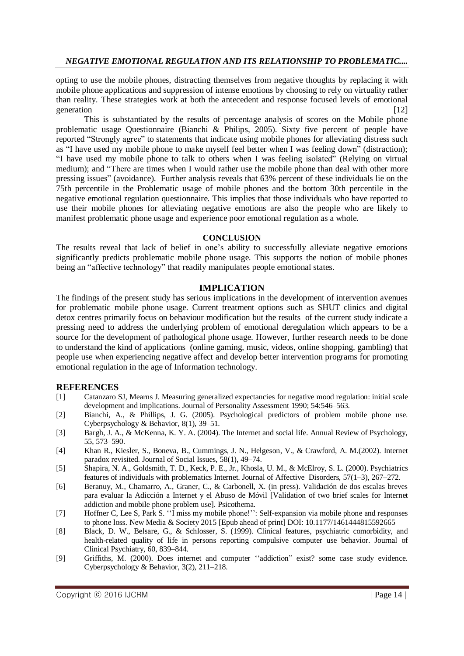opting to use the mobile phones, distracting themselves from negative thoughts by replacing it with mobile phone applications and suppression of intense emotions by choosing to rely on virtuality rather than reality. These strategies work at both the antecedent and response focused levels of emotional generation [12]

This is substantiated by the results of percentage analysis of scores on the Mobile phone problematic usage Questionnaire (Bianchi & Philips, 2005). Sixty five percent of people have reported "Strongly agree" to statements that indicate using mobile phones for alleviating distress such as "I have used my mobile phone to make myself feel better when I was feeling down" (distraction); "I have used my mobile phone to talk to others when I was feeling isolated" (Relying on virtual medium); and "There are times when I would rather use the mobile phone than deal with other more pressing issues" (avoidance). Further analysis reveals that 63% percent of these individuals lie on the 75th percentile in the Problematic usage of mobile phones and the bottom 30th percentile in the negative emotional regulation questionnaire. This implies that those individuals who have reported to use their mobile phones for alleviating negative emotions are also the people who are likely to manifest problematic phone usage and experience poor emotional regulation as a whole.

#### **CONCLUSION**

The results reveal that lack of belief in one's ability to successfully alleviate negative emotions significantly predicts problematic mobile phone usage. This supports the notion of mobile phones being an "affective technology" that readily manipulates people emotional states.

### **IMPLICATION**

The findings of the present study has serious implications in the development of intervention avenues for problematic mobile phone usage. Current treatment options such as SHUT clinics and digital detox centres primarily focus on behaviour modification but the results of the current study indicate a pressing need to address the underlying problem of emotional deregulation which appears to be a source for the development of pathological phone usage. However, further research needs to be done to understand the kind of applications (online gaming, music, videos, online shopping, gambling) that people use when experiencing negative affect and develop better intervention programs for promoting emotional regulation in the age of Information technology.

## **REFERENCES**

- [1] Catanzaro SJ, Mearns J. Measuring generalized expectancies for negative mood regulation: initial scale development and implications. Journal of Personality Assessment 1990; 54:546–563.
- [2] Bianchi, A., & Phillips, J. G. (2005). Psychological predictors of problem mobile phone use. Cyberpsychology & Behavior, 8(1), 39–51.
- [3] Bargh, J. A., & McKenna, K. Y. A. (2004). The Internet and social life. Annual Review of Psychology, 55, 573–590.
- [4] Khan R., Kiesler, S., Boneva, B., Cummings, J. N., Helgeson, V., & Crawford, A. M.(2002). Internet paradox revisited. Journal of Social Issues, 58(1), 49–74.
- [5] Shapira, N. A., Goldsmith, T. D., Keck, P. E., Jr., Khosla, U. M., & McElroy, S. L. (2000). Psychiatrics features of individuals with problematics Internet. Journal of Affective Disorders, 57(1–3), 267–272.
- [6] Beranuy, M., Chamarro, A., Graner, C., & Carbonell, X. (in press). Validación de dos escalas breves para evaluar la Adicción a Internet y el Abuso de Móvil [Validation of two brief scales for Internet addiction and mobile phone problem use]. Psicothema.
- [7] Hoffner C, Lee S, Park S. "I miss my mobile phone!": Self-expansion via mobile phone and responses to phone loss. New Media & Society 2015 [Epub ahead of print] DOI: 10.1177/1461444815592665
- [8] Black, D. W., Belsare, G., & Schlosser, S. (1999). Clinical features, psychiatric comorbidity, and health-related quality of life in persons reporting compulsive computer use behavior. Journal of Clinical Psychiatry, 60, 839–844.
- [9] Griffiths, M. (2000). Does internet and computer "addiction" exist? some case study evidence. Cyberpsychology & Behavior, 3(2), 211–218.